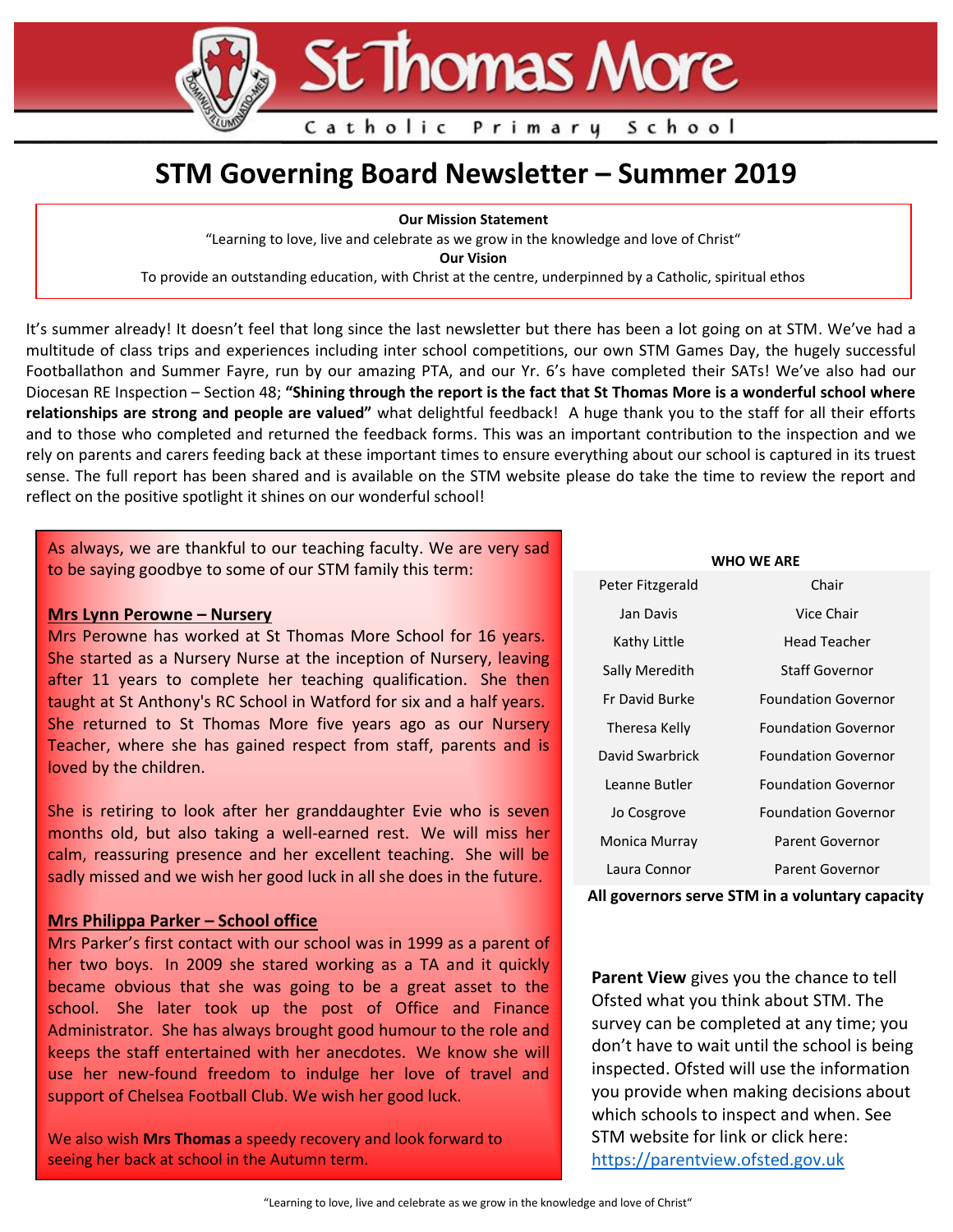# St Thomas More

# **STM Governing Board Newsletter – Summer 2019**

Catholic Primary

**Our Mission Statement**

"Learning to love, live and celebrate as we grow in the knowledge and love of Christ"

**Our Vision**

To provide an outstanding education, with Christ at the centre, underpinned by a Catholic, spiritual ethos

It's summer already! It doesn't feel that long since the last newsletter but there has been a lot going on at STM. We've had a multitude of class trips and experiences including inter school competitions, our own STM Games Day, the hugely successful Footballathon and Summer Fayre, run by our amazing PTA, and our Yr. 6's have completed their SATs! We've also had our Diocesan RE Inspection – Section 48; **"Shining through the report is the fact that St Thomas More is a wonderful school where relationships are strong and people are valued"** what delightful feedback! A huge thank you to the staff for all their efforts and to those who completed and returned the feedback forms. This was an important contribution to the inspection and we rely on parents and carers feeding back at these important times to ensure everything about our school is captured in its truest sense. The full report has been shared and is available on the STM website please do take the time to review the report and reflect on the positive spotlight it shines on our wonderful school!

As always, we are thankful to our teaching faculty. We are very sad to be saying goodbye to some of our STM family this term:

# **Mrs Lynn Perowne – Nursery**

Mrs Perowne has worked at St Thomas More School for 16 years. She started as a Nursery Nurse at the inception of Nursery, leaving after 11 years to complete her teaching qualification. She then taught at St Anthony's RC School in Watford for six and a half years. She returned to St Thomas More five years ago as our Nursery Teacher, where she has gained respect from staff, parents and is loved by the children.

She is retiring to look after her granddaughter Evie who is seven months old, but also taking a well-earned rest. We will miss her calm, reassuring presence and her excellent teaching. She will be sadly missed and we wish her good luck in all she does in the future.

#### **Mrs Philippa Parker – School office**

Mrs Parker's first contact with our school was in 1999 as a parent of her two boys. In 2009 she stared working as a TA and it quickly became obvious that she was going to be a great asset to the school. She later took up the post of Office and Finance Administrator. She has always brought good humour to the role and keeps the staff entertained with her anecdotes. We know she will use her new-found freedom to indulge her love of travel and support of Chelsea Football Club. We wish her good luck.

We also wish **Mrs Thomas** a speedy recovery and look forward to seeing her back at school in the Autumn term.

#### **WHO WE ARE**

School

| Peter Fitzgerald | Chair                      |
|------------------|----------------------------|
| Jan Davis        | Vice Chair                 |
| Kathy Little     | Head Teacher               |
| Sally Meredith   | <b>Staff Governor</b>      |
| Er David Burke   | <b>Foundation Governor</b> |
| Theresa Kelly    | <b>Foundation Governor</b> |
| David Swarbrick  | <b>Foundation Governor</b> |
| Leanne Butler    | <b>Foundation Governor</b> |
| Jo Cosgrove      | <b>Foundation Governor</b> |
| Monica Murray    | Parent Governor            |
| Laura Connor     | Parent Governor            |

**All governors serve STM in a voluntary capacity**

**Parent View** gives you the chance to tell Ofsted what you think about STM. The survey can be completed at any time; you don't have to wait until the school is being inspected. Ofsted will use the information you provide when making decisions about which schools to inspect and when. See STM website for link or click here: [https://parentview.ofsted.gov.uk](https://parentview.ofsted.gov.uk/)